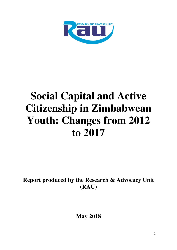

# **Social Capital and Active Citizenship in Zimbabwean Youth: Changes from 2012 to 2017**

**Report produced by the Research & Advocacy Unit (RAU)** 

**May 2018**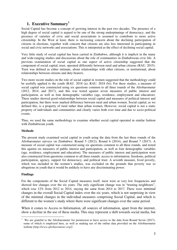## **1. Executive Summary<sup>1</sup>**

Social Capital has become a concept of growing interest in the past two decades. The presence of a high degree of social capital is argued to be one of the strong underpinnings of democracy, and the presence of varieties of civic and social associations is assumed to contribute to more active citizenship. In the West at least, there is increasing concern about the declining participation of citizens in elections, together with concern that citizens are also less interested in participating in social and civic networks and associations. This is interpreted as the effect of declining social capital.

Very little study of social capital has been carried in Zimbabwe, although it is implicit in the many and wide-ranging studies and discussions about the role of communities in Zimbabwean civic life. A previous examination of social capital as one aspect of active citizenship suggested that the component of social capital, trust, operated differently between rural and urban citizens (RAU. 2015). Trust was defined as either intimate, about relationships with other citizens, or institutional, about relationships between citizens and duty bearers.

Two more recent studies on the role of social capital in women suggested that the methodology could be usefully applied to the youth (RAU. 2018 (a); RAU. 2018 (b)). For these studies, a measure of social capital was constructed using six questions common to all three rounds of the Afrobarometer (2012, 2014, and 2017), and this was tested against seven measures of public interest and participation, as well as four demographic variables (age, residence, employment and education). These studies showed good relationships between social capital and measures of political interest and participation, but there were marked difference between rural and urban women. Social capital, as we defined this, is a property of rural rather than urban women. However, social capital is not a static property of individuals and communities and clearly varies both over time and due to socio-political events.

Thus, we used the same methodology to examine whether social capital operated in similar fashion with Zimbabwean youth.

#### **Methods**

The present study examined social capital in youth using the data from the last three rounds of the Afrobarometer surveys on Zimbabwe: Round 5 (2012), Round 6 (2014), and Round 7 (2017). A measure of social capital was constructed using six questions common to all three rounds, and tested this against six measures of public interest and participation, as well as four demographic variables (age, residence, employment and education). The measures of public interest and participation were also constructed from questions common to all three rounds: access to information, freedoms, political participation, agency, support for democracy, and political trust. A seventh measure, lived poverty, which was included in the women's studies, was excluded on the grounds that poverty was so ubiquitous in youth that it would be unlikely to have any discriminating power.

#### **Findings**

<u>.</u>

For the components of the Social Capital measures itself, most were at very low frequencies and showed few changes over the six years. The only significant change was in "trusting neighbours", which rose 12% from 2012 to 2014, staying the same from 2014 to 2017. There were minimal changes in the overall Social Capital index over the six years, which is not surprising in view of the minimal changes in the individual measures comprising Social Capital, and which is different to the women's study where there were significant changes over the same period.

When it comes to Access to Information, all sources of information, apart from the internet, show a decline in the use of these media. This may represent a shift towards social media, but

<sup>&</sup>lt;sup>1</sup> We are grateful to the Afrobarometer for permission to have access to the data from Round Seven (2017), some of which is employed here, as well as making use of the online data provided on the Afrobarometer website [*http://www.afrobarometer.org/]*.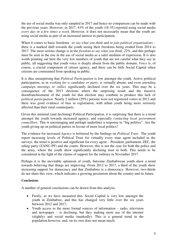the use of social media was only sampled in 2017 and hence no comparison can be made with the previous years. However, in 2017, 43% of the youth (18-35) reported using social media *every day* or a *few times a week*. However, it does not necessarily mean that the youth are using social media as part of an increased interest in participation.

When it comes to basic freedoms –*to say what you think* and *to join political organisations* – there is a marked shift towards the youth seeing their freedoms being eroded from 2014 to 2017. The most serious change is in the *freedom to say what you think*, 22%, and this perhaps must be seen in the rise in the use of social media as a safer medium of expression. It is also worth pointing out here the very low numbers of youth that are not careful what they say in public, all suggesting that youth voice is deeply absent from the public domain. *Voice* is, of course, a crucial component of citizen agency, and there can be little Social Capital when citizens are constrained from speaking in public.

It is thus unsurprising that *Political Participation* is low amongst the youth. Active political participation, as in *working for a candidate or party*, is virtually absent, and even *attending campaign meetings or rallies* significantly declined over the six years. This may be a consequence of the 2013 elections where the surprising result and the massive disenfranchisement of the youth for that election may combine to produce this lack of *political participation*. Nearly 2 million (29%) persons were not registered voters in 2013 and there was good evidence of bias in registration, with urban youth being more seriously affected than their rural counterparts.

Given this minimal (and declining) Political Participation, it is surprising that there is a trend amongst the youth towards increased agency, and especially *contacting local government councillors*. This is encouraging and perhaps underlines a response to "big politics". Are the youth giving up on political parties in favour of more local politics?

The evidence for increased *Agency* is bolstered by the findings on *Political Trust.* The youth report increasng levels of Political Trust for virtually every state agent included in the surveys. the trend is positive and significant for every agent – President, parliament, ZEC, the ruling party (ZANU-PF) and the courts. However, this is not the case for both the police and the army, where the youth show significantly declining trust in both. This needs to be considered in the light of the claims of support for the military in November 2017.

Perhaps it is the inevitable optimism of youth, butsome Zimbabwean youth show a trend towards believing that things are improving. From 2012 to 2017, a third of the youth show increasing support for democracy and that Zimbabwe is a democracy. However, two-thirds do not share this view, which indicates a growing pessimism about the country and its future.

### **Conclusions**

A number of general conclusions can be drawn from this analysis.

- Firstly, as we have measured this, Social Capital is very low amongst the youth in Zimbabwe, and this has changed very little over the six years between 2012 and 2017;
- Youth access to the more formal sources of information radio, television and newspaper – is declining, but they making more use of the internet (slightly) and social media (markedly). This is a general trend in the population however, and, on its own does not mean much;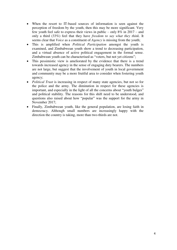- When the resort to IT-based sources of information is seen against the perception of freedom by the youth, then this may be more significant. Very few youth feel safe to express their views in public – only  $8\%$  in 2017 – and only a third (33%) feel that they have *freedom to say what they think*. It seems clear that *Voice* as a constituent of *Agency* is missing from the youth;
- This is amplified when *Political Participation* amongst the youth is examined, and Zimbabwean youth show a trend to decreasing participation, and a virtual absence of active political engagement in the formal sense. Zimbabwean youth can be characterised as "voters, but not yet citizens";
- This pessimistic view is ameliorated by the evidence that there is a trend towards increased agency in the sense of engaging duty bearers. The numbers are not large, but suggest that the involvement of youth in local government and community may be a more fruitful area to consider when fostering youth agency;
- *Political Trust* is increasing in respect of many state agencies, but not so for the police and the army. The diminution in respect for these agencies is important, and especially in the light of all the concerns about "youth bulges" and political stability. The reasons for this shift need to be understood, and questions also raised about how "popular" was the support for the army in November 2017;
- Finally, Zimbabwean youth, like the general population, are losing faith in democracy. Although small numbers are increasingly happy with the direction the country is taking, more than two-thirds are not.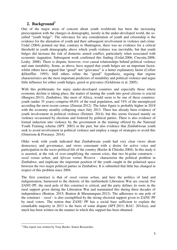# **2. Background<sup>2</sup>**

One of the major areas of concern about youth worldwide has been the increasing preoccupation with the changes in demography, mostly in the under-developed world, the socalled "youth bulge". The relevance for any consideration of youth and citizenship is the evidence for the alienation of youth and their subsequent involvement in violence and crime. Urdal (2004) pointed out that, contrary to Huntington, there was no evidence for a critical threshold in youth demography above which youth violence was inevitable, but that youth bulges did increase the risk of domestic armed conflict, particularly when associated with economic stagnation. Subsequent work confirmed this finding (Urdal.2006; Cincotta.2008; Leahy. 2008). There is dispute, however, over causal relationships behind political violence and state instability. Some, as above, have argued that youth bulges are an important factor, whilst others have argued that "greed" not "grievance" is a better explanatory factor (Collier &Hoeffler. 1995). Still others refute the "greed" hypothesis, arguing that regime characteristics are the most important predictors of instability and political violence and argue little influence for either youth bulges, greed or grievance (Goldstone et al. 2005).

With this problematic for many under-developed countries and especially those where economic decline is taking place, the matter of turning the youth into good citizens is crucial (Hungwe.2013). Zimbabwe, like most of Africa, would seem to be one of these countries: youth (under 35 years) comprise 69.8% of the total population, and 74% of the unemployed according the most recent census (Zimstat.2012). The latter figure is probably higher in 2018 with the economy steadily collapsing since July 2013. There has already been evidence of youth involvement in political violence (Dzimiri. 2014), but this seems focused mainly on violence occasioned by elections and fostered by political parties. There is also evidence of formal induction into violence by the government in the training offered by the National Youth Training scheme (SPT. 2003) in the past, but also evidence that Zimbabwean youth seek to avoid involvement in political violence and employ a range of strategies to avoid this (Osteroom & Pswarayi. 2014).

Older work with youth indicated that Zimbabwean youth had very clear views about democracy and governance, and views consonant with a desire for active voice and participation in the socio-political life of the country (Reeler & Chitsike.2004). In this study it is asserted, at the risk of over-simplifying the current crisis, that two bi-polar constructs – *rural* versus *urban*, and *African* versus *Western* - characterise the political problem in Zimbabwe, and implicate the important position of the youth caught in the polarised space between the two major political parties in Zimbabwe. It is submitted that little has changed in respect of this problem since 2004.

The first construct is that of *rural* versus *urban*, and here the politics of land and indigenisation, harnessed to the rhetoric of the (unfinished) Liberation War are crucial. For ZANU-PF, the rural pole of this construct is critical, and the party defines its roots in the rural support given during the Liberation War and maintained this during three decades of independence (Bratton. 2015; Bratton & Masunungure.2012). The adherence to one pole of the construct – *rural* - is also exemplified by the strong electoral support given to ZANU PF by rural voters. The notion that ZANU PF has a social base sufficient to explain the remarkable majority in 2013 is the basis of some dispute (SPT.2013; RAU. 2014(a)), and much has been written on the manner in which this support has been obtained.

-

<sup>&</sup>lt;sup>2</sup> This report was written by Tony Reeler, Senior Researcher.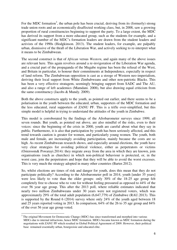For the MDC formation<sup>3</sup>, the urban pole has been crucial, deriving from its (formerly) strong trade union roots and an economically disaffected working class, but, in 2008, saw a growing proportion of rural constituencies beginning to support the party. To a large extent, the MDC has derived its support from a more educated group, such as the students for example, and a significant number of the MDC's formation leaders are drawn from the student leaders and activists of the 1990s (Hodgkinson. 2013). The student leaders, for example, are palpably urban, dismissive of the thrall of the Liberation War, and actively seeking to re-interpret what it means to be Zimbabwean.

The second construct is that of *African* versus *Western*, and again many of the above issues are relevant here. This again revolves around a re-invigoration of the Liberation War agenda, and a crucial part of the propaganda of the Mugabe regime has been the refusal of the West, and Britain in particular, to honour their commitments at Independence, especially in respect of land reform. The Zimbabwean opposition is cast as a stooge of Western neo-imperialism, deriving their local support from White Zimbabweans and other non-patriotic Blacks. This has been a very effective stratagem, seemingly bringing support from SADC and The AU, and also a range of left academics (Mamdani. 2008), but also drawing equal criticism from the same constituency (Jacobs & Mundy. 2009).

Both the above constructs apply to the youth, as pointed out earlier, and there seems to be a polarisation in the youth between the educated, urban, supporters of the MDC formation and the less educated, rural supporters of ZANU PF. This is a trifle over-simplified, but this simple model is helpful in trying to understand the attitudes of the youth in Zimbabwe.

This model is corroborated by the findings of the Afrobarometer surveys since 1999, all seven rounds. But youth, as pointed out above, are also mindful of the risks, even to their voices: since the beginning of the crisis in 2000, youth are careful about what they say in public. Furthermore, it is also that participation by youth has been seriously affected, and this trend towards caution is greater for women, and particularly young women. The youth, both male and female, are increasingly avoiding participation, mainly because the costs are so high. As recent Zimbabwean research shows, and especially around elections, the youth have very clear strategies for avoiding political violence, either as perpetrators or victims (Osteroom& Pswarayi.2014): they migrate away from the area in which they are known, join organisations (such as churches) in which non-political behaviour is protected, or, in the worst case, join the perpetrators and hope that they will be able to avoid the worst excesses. This is very much the strategy adopted in many other countries (Barter.2012).

So, whilst elections are times of risk and danger for youth, does this mean that they do not participate politically? According to the Afrobarometer poll in 2014, youth [under 35 years] were less likely to vote than the older groups: only 30% of the 18-25 age group felt completely free to choose who to vote for without feeling pressured as opposed to 44% of the over 56 year age group. This after the 2013 poll, where reliable estimates indicated that nearly two million Zimbabweans under 30 years were not registered voters, which was approximately 29% of the total adult population (6,647,779) of Zimbabwe (RAU.2013). This is supported by the Round 6 (2014) survey where only 24% of the youth aged between 18 and 25 years reported voting in 2013. In comparison, 64% of the 26 to 35 age group and 84% of the over 56 year age group voted.

-

<sup>&</sup>lt;sup>3</sup> The original Movement for Democratic Change (MDC) has since transformed and morphed into various MDCs due to internal infractions, hence MDC formation. MDCs became known as MDC formation during the negotiations with ZANU PF which resulted in Global Political Agreement of 2009. However, their political base remained essentially urban, bourgeoisie and educated elite.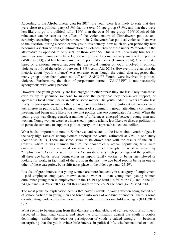According to the Afrobarometer data for 2014, the youth were less likely to state that they were close to a political party  $(51\%)$  than the over 56 age group  $(71\%)$ , and that they were less likely to go to a political rally (19%) than the over 56 age group (59%).Much of this reluctance can be seen as the effect of the violent nature of Zimbabwean politics, and certainly, according to the Afrobarometer in 2017, the youth fear political violence. In answer to the question, during election campaigns in this country, how much do you personally fear becoming a victim of political intimidation or violence, 56% of those under 25 reported in the affirmative as opposed to only 40% of those over 56. This is not universally true for all youth, as small numbers relatively, speaking, have become actively involved in politics (Wilkins.2013), and few become involved in political violence (Dzimiri. 2014). One estimate, based on a national survey, suggests that the actual number of youth involved in political violence is only of the order of between 1-3% (ActionAid.2013). However, it is clear that the rhetoric about "youth violence" was extreme, even though the actual data suggested that many groups other than "youth militia" and "ZANU-PF Youth" were involved in political violence, Furthermore, the class of perpetrators termed "ZANU-PF" is not necessarily synonymous with young persons.

However, the youth generally are less engaged in other areas: they are less likely than those over 35 try to persuade someone to support the party that they themselves support, or approach a local councillor or an MP on some matter. The youth under 30 years are also less likely to participate in many other areas of socio-political life. Significant differences were less interest in public affairs, being a member of a community group, attending a community meeting, and being more likely to state that politics was too complicated for them. When the youth group was disaggregated, a number of differences emerged between young men and women. Young women were less interested in public affairs, less likely to discuss politics, try to persuade someone to support a political party, or to approach a local councillor.

What is also important to note in Zimbabwe, and related to the issues about youth bulges, is the very high rates of unemployment amongst the youth, estimated at 73% in one study (ActionAid.2013). There are some issues to be drawn here with the results of the 2012 Census, where it was claimed that, of the economically active population, 89% were employed, but it this is based on some very broad concepts of what is meant by "employment". As can be seen from the Census data, very high percentages of the youth, in all three age bands, report being either an unpaid family worker, or being unemployed or looking for work: in fact, half of the group in the first two age band reports being in one or other of these categories, but a shift takes place in the older age band (25-29).

It is also of great interest that young women are more frequently in a category of employment – paid employee, employer, or own account worker – than young men: young women outnumber young men in employment in the 15-19 age band (16.3% v. 9.6%), and in the 20- 24 age band (34.2% v. 28.5%), but this changes for the 25-29 age band (47.1% v.54.7%).

The most plausible explanation here is that poverty results in young women being forced out of school earlier than young men and forced into work of one kind or another. There is some corroborating evidence for this view from a number of studies on child marriages (RAU.2014 (b)).

What seems to be emerging from this data are the dual effects of culture: youth is not much respected in traditional culture, and since the discrimination against the youth is doubly debilitating - neither the voice nor participation of youth is valued strongly - it becomes unsurprising that the youth evince little interest in political life, whether national or local.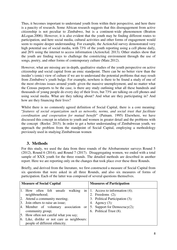Thus, it becomes important to understand youth from within their perspective, and here there is a paucity of research. Some African research suggests that this disengagement from active citizenship is not peculiar to Zimbabwe, but is a continent-wide phenomenon (Bratton &Logan.2006). However, it is also evident that the youth may be finding different routes to participation, and here social media, cultural activities and other forms of engagement would seem to require deeper understanding. For example, the ActionAid survey demonstrated very high potential use of social media, with 73% of the youth reporting using a cell phone daily, and 26% using the internet to access information (ActionAid. 2013). Other studies show that the youth are finding ways to challenge the constricting environment through the use of songs, poetry, and other forms of contemporary culture (Mate.2012).

However, what are missing are in-depth, qualitative studies of the youth perspective on active citizenship and social capital from an emic standpoint. There can be no better view than the insider's (emic) view of culture if we are to understand the potential problems that may result from Zimbabwe's youth bulge. For example, nowhere is there to be found a study of one of the most obvious issues around youth: given the massive unemployment, and no matter what the Census purports to be the case, is there any study outlining what all these hundreds and thousands of young people do every day of their lives, but 73% are talking on cell phones and using social media. What are they talking about? And what are they participating in? And how are they financing their lives?

Whilst there is no commonly agreed definition of Social Capital, there is a core meaning: "*features of social organization such as networks, norms, and social trust that facilitate coordination and cooperation for mutual benefit*" (Putnam. 1995) Elsewhere, we have discussed this concept in relation to youth and women in greater detail and the problems with the concept (Reeler. 2015). In order to get a better understanding of Zimbabwean youth, we approach the problem from the standpoint of Social Capital, employing a methodology previously used in studying Zimbabwean women

## **3. Methods**

For this study, we used the data from three rounds of the Afrobarometer surveys Round 5 (2012), Round 6 (2014), and Round 7 (2017). Disaggregating women, we ended with a total sample of XXX youth for the three rounds. The detailed methods are described in another report. Here we are reporting only on the changes that took place over these three Rounds.

Briefly, and derived from the literature, we first constructed a measure of Social Capital from six questions that were asked in all three Rounds, and also six measures of forms of participation. Each of the latter was composed of several questions themselves.

| <b>Measure of Social Capital</b> |                                                        | <b>Measures of Participation</b> |
|----------------------------------|--------------------------------------------------------|----------------------------------|
|                                  | 1. How often felt unsafe<br>walking<br>in <sub>1</sub> | 1. Access to information $(4)$ ; |
|                                  | neighbourhood;                                         | 2. Freedoms $(2)$ ;              |
|                                  | 2. Attend a community meeting;                         | 3. Political Participation (3);  |
|                                  | 3. Join others to raise an issue;                      | 4. Agency $(3)$ ;                |
|                                  | 4. Member of voluntary association or                  | 5. Support for Democracy $(2)$ ; |
|                                  | community group;                                       | 6. Political Trust (8).          |
|                                  | 5. How often not careful what you say;                 |                                  |
|                                  | 6. Like, dislike or not care as neighbours:            |                                  |
|                                  | people of different ethnicity.                         |                                  |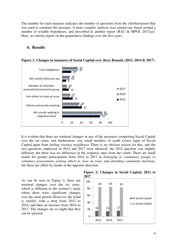The number for each measure indicates the number of questions from the Afrobarometer that was used to construct the measure. A more complex analysis was carried out, based around a number of testable hypotheses, and described in another report (RAU & MPOI. 2017(a)). Here, we merely report on the quantitative findings over the five years.

## **4. Results**



**Figure 1: Changes in measures of Social Capital over three Rounds (2012, 2014 & 2017)**

It is evident that there are minimal changes in any of the measures comprising Social Capital over the six years, and furthermore very small numbers of youth evince signs of Social Capital apart from feeling *trusting neighbours* There is no obvious reason for this, and the two questions employed in 2014 and 2017 were identical: the 2012 question was slightly different, but there was no difference in the response rates from the youth. There are small trends for greater participation from 2014 to 2017 in *belonging to community groups or voluntary associations*, *joining others to raise an issue*, and *attending community meetings*, but these are offset by trends in the opposite direction.

As can be seen in Figure 2, there are minimal changes over the six years, which is different to the women's study where there were significant changes over the same period. However, the trend is similar, with a drop from 2012 to 2014, and then an increase from 2014 to 2017. The changes are so slight that they can be ignored.

### **Figure 2: Changes in Social Capital, 2012 to 2017**

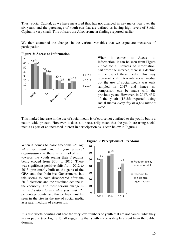Thus, Social Capital, as we have measured this, has not changed in any major way over the six years, and the percentage of youth can that are defined as having high levels of Social Capital is very small. This bolsters the Afrobarometer findings reported earlier.

We then examined the changes in the various variables that we argue are measures of participation.



When it comes to Access to Information, it can be seen from Figure 2 that for all sources of information, part from the internet, there is a decline in the use of these media. This may represent a shift towards social media, but the use of social media was only sampled in 2017 and hence no comparison can be made with the previous years. However, in 2017, 43% of the youth (18-35) reported using social media *every day* or a *few times a week*.

This marked increase in the use of social media is of course not confined to the youth, but is a nation-wide process. However, it does not necessarily mean that the youth are using social media as part of an increased interest in participation as is seen below in Figure 4.

When it comes to basic freedoms –*to say what you think* and *to join political organisations* – there is a marked shift towards the youth seeing their freedoms being eroded from 2014 to 2017. There was significant positive shift from 2012 to 2013, presumably built on the gains of the GPA and the Inclusive Government, but this seems to have disappeared after the 2013 elections and the sustained decline in the economy. The most serious change is in the *freedom to say what you think*, 22 percentage points, and this perhaps must be seen in the rise in the use of social media as a safer medium of expression.

**Figure 3: Perceptions of Freedoms** 



It is also worth pointing out here the very low numbers of youth that are not careful what they say in public (see Figure 1), all suggesting that youth voice is deeply absent from the public domain.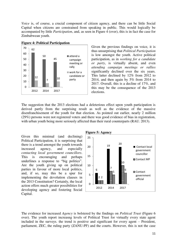*Voice* is, of course, a crucial component of citizen agency, and there can be little Social Capital when citizens are constrained from speaking in public. This would logically be accompanied by little *Participation*, and, as seen in Figure 4 (over), this is in fact the case for Zimbabwean youth.



**Figure 4: Political Participation** 

Given the previous findings on voice, it is thus unsurprising that *Political Participation* is low amongst the youth. Active political participation, as in *working for a candidate or party*, is virtually absent, and even *attending campaign meetings or rallies* significantly declined over the six years. This latter declined by 12% from 2012 to 2014, and then again by 5% from 2014 to 2017. Overall, this is a decline of 17%, and this may be the consequence of the 2013 elections.

The suggestion that the 2013 elections had a deleterious effect upon youth participation is derived partly from the surprising result as well as the evidence of the massive disenfranchisement of the youth for that election. As pointed out earlier, nearly 2 million (29%) persons were not registered voters and there was good evidence of bias in registration, with urban youth being more seriously affected than their rural counterparts (RAU. 2013).

Given this minimal (and declining) Political Participation, it is surprising that there is a trend amongst the youth towards increased agency, and especially *contacting local government councillors*. This is encouraging and perhaps underlines a response to "big politics". Are the youth giving up on political parties in favour of more local politics, and, if so, may this be a spur for implementing the devolution clauses in the 2013 Constitution? Certainly, the local action offers much greater possibilities for developing agency and fostering Social Capital.



The evidence for increased *Agency* is bolstered by the findings on *Political Trust* (Figure 6 over). The youth report increasng levels of Political Trust for virtually every state agent included in the surveys. the trend is positive and significant for every agent – President, parliament, ZEC, the ruling party (ZANU-PF) and the courts. However, this is not the case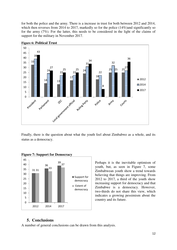for both the police and the army. There is a increase in trust for both between 2012 and 2014, which then reverses from 2014 to 2017, markedly so for the police (14%) and significantly so for the army (7%). For the latter, this needs to be considered in the light of the claims of support for the military in November 2017.



**Figure 6: Political Trust** 

Finally, there is the question about what the youth feel about Zimbabwe as a whole, and its status as a democracy.



**Figure 7: Support for Democracy** 

Perhaps it is the inevitable optimism of youth, but, as seen in Figure 7, some Zimbabwean youth show a trend towards believing that things are improving. From 2012 to 2017, a third of the youth show increasing support for democracy and that Zimbabwe is a democracy. However, two-thirds do not share this view, which indicates a growing pessimism about the country and its future.

## **5. Conclusions**

A number of general conclusions can be drawn from this analysis.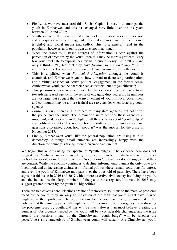- Firstly, as we have measured this, Social Capital is very low amongst the youth in Zimbabwe, and this has changed very little over the six years between 2012 and 2017;
- Youth access to the more formal sources of information radio, television and newspaper – is declining, but they making more use of the internet (slightly) and social media (markedly). This is a general trend in the population however, and, on its own does not mean much;
- When the resort to IT-based sources of information is seen against the perception of freedom by the youth, then this may be more significant. Very few youth feel safe to express their views in public – only 8% in 2017 – and only a third (33%) feel that they have *freedom to say what they think*. It seems clear that *Voice* as a constituent of *Agency* is missing from the youth;
- This is amplified when *Political Participation* amongst the youth is examined, and Zimbabwean youth show a trend to decreasing participation, and a virtual absence of active political engagement in the formal sense. Zimbabwean youth can be characterised as "voters, but not yet citizens";
- This pessimistic view is ameliorated by the evidence that there is a trend towards increased agency in the sense of engaging duty bearers. The numbers are not large, but suggest that the involvement of youth in local government and community may be a more fruitful area to consider when fostering youth agency;
- *Political Trust* is increasing in respect of many state agencies, but not so for the police and the army. The diminution in respect for these agencies is important, and especially in the light of all the concerns about "youth bulges" and political stability. The reasons for this shift need to be understood, and questions also raised about how "popular" was the support for the army in November 2017;
- Finally, Zimbabwean youth, like the general population, are losing faith in democracy. Although small numbers are increasingly happy with the direction the country is taking, more than two-thirds are not.

We began this report raising the spectre of "youth bulges". The evidence here does not suggest that Zimbabwean youth are likely to create the kinds of disturbances seen in other parts of the world, as in the North African "revolutions", but neither does it suggest that they are content. While the economy continues to decline, informal employment the only route to a livelihood, and an increasing disinterest in formal politics, these remain conditions for unrest, and even the youth of Zimbabwe may pass over the threshold of passivity. There have been signs that this is so in 2016 and 2017 with a more assertive civil society involving the youth, and the indications that large numbers of the youth have registered to vote in 2018 may suggest greater interest by the youth in "big politics".

There are two caveats here. Elections are not of themselves solutions to the massive problems faced by the youth: they are only an indication of the faith that youth might have in who might solve their problems. The big questions for the youth will only be answered in the policies that the winning party will implement. Furthermore, there is urgency for addressing the problems faced by youth, and this will be much slower than most believe: creating the number of jobs urgently needed by the youth will be a considerable challenge, and the issue around the possible impact of the Zimbabwean "youth bulge" will be whether the peacefulness so characteristic of Zimbabwean youth will sustain. Are Zimbabwean youth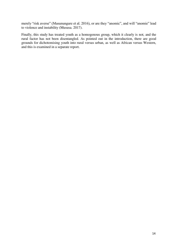merely "risk averse" (Masunungure et al. 2016), or are they "anomic", and will "anomie" lead to violence and instability (Mususa. 2017).

Finally, this study has treated youth as a homogenous group, which it clearly is not, and the rural factor has not been disentangled. As pointed out in the introduction, there are good grounds for dichotomising youth into rural versus urban, as well as African versus Western, and this is examined in a separate report.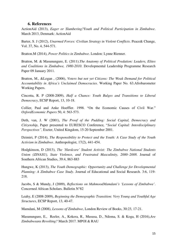### **6. References**

ActionAid (2013), *Eager or Slumbering?Youth and Political Participation in Zimbabwe*. March 2013, Denmark: ActionAid

Barter, S. J (2012), *Unarmed Forces: Civilian Strategy in Violent Conflicts*. Peace& Change, Vol. 37, No. 4, 544-571.

Bratton.M (2014), *Power Politics in Zimbabwe*. London: Lynne Rienner.

Bratton, M. & Masunungure, E. (2011).*The Anatomy of Political Predation: Leaders, Elites and Coalitions in Zimbabwe, 1980-2010*. Developmental Leadership Programme Research Paper 09 January 2011.

Bratton, M., &Logan , (2006), *Voters but not yet Citizens: The Weak Demand for Political Accountability in Africa"s Unclaimed Democracies*. Working Paper No. 63.Afrobarometer Working Papers.

Cincotta, R. P (2008-2009), *Half a Chance: Youth Bulges and Transitions to Liberal Democracy*, ECSP Report, 13, 10-18.

Collier, Paul and Anke Hoeffler. 1998. "On the Economic Causes of Civil War." *OxfordEconomic Papers* 50, 4: 563-573.

Deth, van, J. W (2001), *The Proof of the Pudding: Social Capital, Democracy and Citizenship*, Paper presented to EURESCO Conference, "*Social Capital: Interdisciplinary Perspectives",* Exeter, United Kingdom, 15-20 September 2001.

Dzimiri, P (2014), *The Responsibility to Protect and the Youth: A Case Study of the Youth Activism in Zimbabwe*. Anthropologist, 17(2), 441-454.

Hodgkinson, D (2013), *The "Hardcore" Student Activist: The Zimbabwe National Students Union (ZINASU), State Violence, and Frustrated Masculinity, 2000–2008*. Journal of Southern African Studies, 39:4, 863-883

Hungwe, K (2013), *The Youth Demographic: Opportunity and Challenge for Developmental Planning: A Zimbabwe Case Study*. Journal of Educational and Social Research. 3:6, 119- 218.

Jacobs, S & Mundy, J (2009), *Reflections on MahmoodMamdani"s "Lessons of Zimbabwe"*. Concerned African Scholars. Bulletin N°82

Leahy, E (2008-2009), *Beginning the Demographic Transition: Very Young and Youthful Age Structures*, ECSP Report, 13, 40-47.

Mamdani, M (2008), *Lessons of Zimbabwe*, London Review of Books, 30:23, 17-21.

Masunungure, E., Reeler, A., Kokera, R., Mususa, D., Ndoma, S. & Koga, H (2016),*Are Zimbabweans Revolting?* March 2017. MPOI & RAU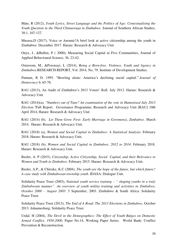Mate, R (2012), *Youth Lyrics, Street Language and the Politics of Age: Contextualising the Youth Question in the Third Chimurenga in Zimbabwe*. Journal of Southern African Studies, 38:1, 107-127.

Mususa.D (2017), Voice or Anomie?A brief look at active citizenship among the youth in Zimbabwe. December 2017. Harare: Research & Advocacy Unit

Onyx, J., &Bullen, P ( 2000), Measuring Social Capital in Five Communities, Journal of Applied Behavioural Science, 36, 23-42.

Osteroom, M., &Pswarayi, L (2014), *Being a Born-free. Violence, Youth and Agency in Zimbabwe.*RESEARCH REPORT, Vol. 2014, No, 79. Institute of Development Studies.

Putnam, R D. 1995. "Bowling alone: America's declining social capital." *Journal of Democracy* 6: 65-78.

RAU (2013), An Audit of Zimbabwe's 2013 Voters' Roll. July 2013. Harare: Research & Advocacy Unit

RAU (2014)(a), *"Numbers out of Tune? An examination of the vote in Hamonised July 2013 Election."*Full Report. Governance Programme, Research and Advocacy Unit [RAU] 10th April 2014, Harare: Research & Advocacy Unit

RAU (2014) (b), *Let Them Grow First: Early Marriage in Goromonzi, Zimbabwe*. March 2014. Harare: Research & Advocacy Unit.

RAU (2018) (a), *Women and Social Capital in Zimbabwe: A Statistical Analysis*. February 2018, Harare: Research & Advocacy Unit;

RAU (2018) (b), *Women and Social Capital in Zimbabwe: 2012 to 2014*. February 2018. Harare: Research & Advocacy Unit.

Reeler, A. P (2015), *Citizenship, Active Citizenship, Social Capital, and their Relevance to Women and Youth in Zimbabwe.* February 2015. Harare: Research & Advocacy Unit;

Reeler, A.P., & Chitsike, K.C (2004), *The youth are the hope of the future, but which future? A case study with Zimbabwean township youth*. IDASA: Dialogue Unit.

Solidarity Peace Trust (2003), *National youth service training – " shaping youths in a truly Zimbabwean manner". An overview of youth militia training and activities in Zimbabwe, October 2000 – August 2003*. 5 September, 2003. Zimbabwe & South Africa: Solidarity Peace Trust.

Solidarity Peace Trust (2013), *The End of A Road: The 2013 Elections in Zimbabwe*, October 2013. Johannesburg: Solidarity Peace Trust.

Urdal. H (2004), *The Devil in the Demographics: The Effect of Youth Bulges on Domestic Armed Conflict, 1950-2000*, Paper No.14, Working Paper Series. World Bank: Conflict Prevention & Reconstruction.